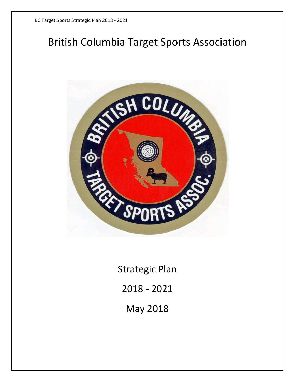# British Columbia Target Sports Association



Strategic Plan 2018 - 2021 May 2018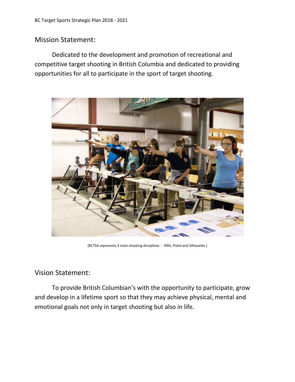#### Mission Statement:

Dedicated to the development and promotion of recreational and competitive target shooting in British Columbia and dedicated to providing opportunities for all to participate in the sport of target shooting.



(BCTSA represents 3 main shooting disciplines - Rifle, Pistol and Silhouette )

#### Vision Statement:

To provide British Columbian's with the opportunity to participate, grow and develop in a lifetime sport so that they may achieve physical, mental and emotional goals not only in target shooting but also in life.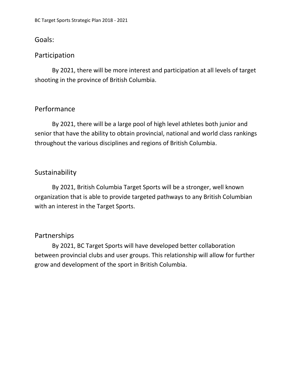#### Goals:

#### Participation

By 2021, there will be more interest and participation at all levels of target shooting in the province of British Columbia.

#### Performance

By 2021, there will be a large pool of high level athletes both junior and senior that have the ability to obtain provincial, national and world class rankings throughout the various disciplines and regions of British Columbia.

#### Sustainability

By 2021, British Columbia Target Sports will be a stronger, well known organization that is able to provide targeted pathways to any British Columbian with an interest in the Target Sports.

#### Partnerships

By 2021, BC Target Sports will have developed better collaboration between provincial clubs and user groups. This relationship will allow for further grow and development of the sport in British Columbia.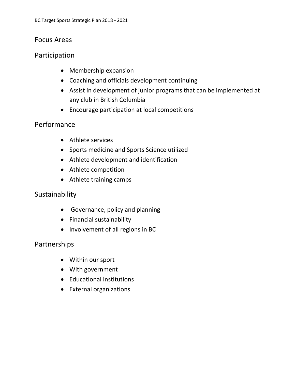#### Focus Areas

#### Participation

- Membership expansion
- Coaching and officials development continuing
- Assist in development of junior programs that can be implemented at any club in British Columbia
- Encourage participation at local competitions

#### Performance

- Athlete services
- Sports medicine and Sports Science utilized
- Athlete development and identification
- Athlete competition
- Athlete training camps

#### Sustainability

- Governance, policy and planning
- Financial sustainability
- Involvement of all regions in BC

### Partnerships

- Within our sport
- With government
- Educational institutions
- External organizations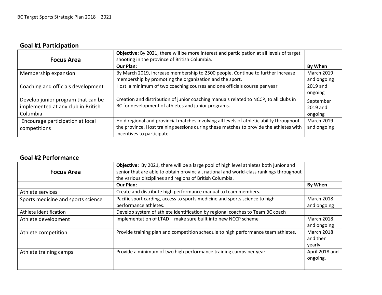## **Goal #1 Participation**

|                                                                                      | Objective: By 2021, there will be more interest and participation at all levels of target                                                                                                                        |                                  |
|--------------------------------------------------------------------------------------|------------------------------------------------------------------------------------------------------------------------------------------------------------------------------------------------------------------|----------------------------------|
| <b>Focus Area</b>                                                                    | shooting in the province of British Columbia.<br><b>Our Plan:</b>                                                                                                                                                | By When                          |
| Membership expansion                                                                 | By March 2019, increase membership to 2500 people. Continue to further increase<br>membership by promoting the organization and the sport.                                                                       | <b>March 2019</b><br>and ongoing |
| Coaching and officials development                                                   | Host a minimum of two coaching courses and one officials course per year                                                                                                                                         | 2019 and<br>ongoing              |
| Develop junior program that can be<br>implemented at any club in British<br>Columbia | Creation and distribution of junior coaching manuals related to NCCP, to all clubs in<br>BC for development of athletes and junior programs.                                                                     | September<br>2019 and<br>ongoing |
| Encourage participation at local<br>competitions                                     | Hold regional and provincial matches involving all levels of athletic ability throughout<br>the province. Host training sessions during these matches to provide the athletes with<br>incentives to participate. | <b>March 2019</b><br>and ongoing |

#### **Goal #2 Performance**

| Objective: By 2021, there will be a large pool of high level athletes both junior and |                                                                                                                                                     |
|---------------------------------------------------------------------------------------|-----------------------------------------------------------------------------------------------------------------------------------------------------|
|                                                                                       |                                                                                                                                                     |
|                                                                                       |                                                                                                                                                     |
|                                                                                       |                                                                                                                                                     |
| Our Plan:                                                                             | By When                                                                                                                                             |
| Create and distribute high performance manual to team members.                        |                                                                                                                                                     |
| Pacific sport carding, access to sports medicine and sports science to high           | <b>March 2018</b>                                                                                                                                   |
| performance athletes.                                                                 | and ongoing                                                                                                                                         |
| Develop system of athlete identification by regional coaches to Team BC coach         |                                                                                                                                                     |
| Implementation of LTAD - make sure built into new NCCP scheme                         | <b>March 2018</b>                                                                                                                                   |
|                                                                                       | and ongoing                                                                                                                                         |
| Provide training plan and competition schedule to high performance team athletes.     | <b>March 2018</b>                                                                                                                                   |
|                                                                                       | and then                                                                                                                                            |
|                                                                                       | yearly.                                                                                                                                             |
| Provide a minimum of two high performance training camps per year                     | April 2018 and                                                                                                                                      |
|                                                                                       | ongoing.                                                                                                                                            |
|                                                                                       |                                                                                                                                                     |
|                                                                                       | senior that are able to obtain provincial, national and world-class rankings throughout<br>the various disciplines and regions of British Columbia. |